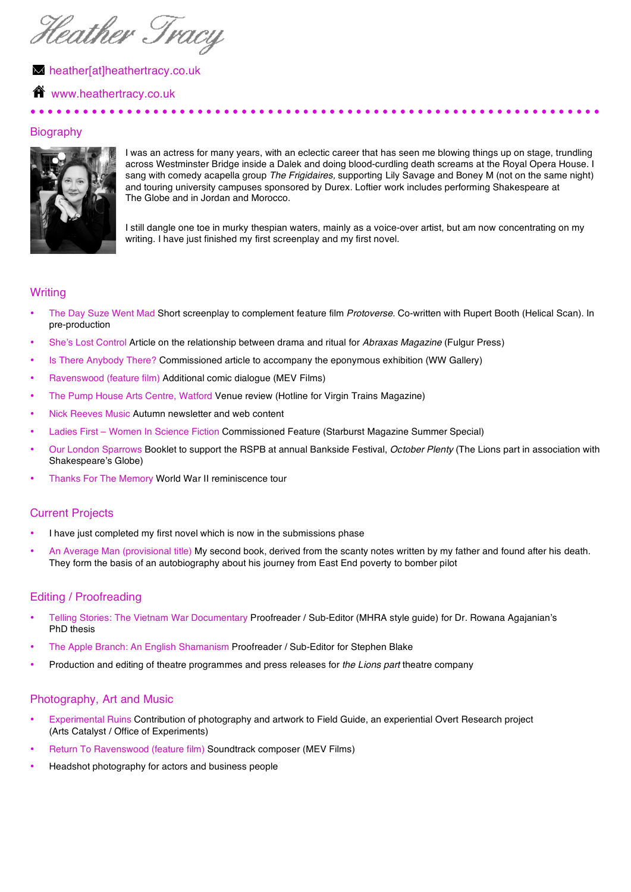Heather Tracy

 $\overline{M}$  heather[at]heathertracy.co.uk

# **T** www.heathertracy.co.uk

## Biography



I was an actress for many years, with an eclectic career that has seen me blowing things up on stage, trundling across Westminster Bridge inside a Dalek and doing blood-curdling death screams at the Royal Opera House. I sang with comedy acapella group *The Frigidaires,* supporting Lily Savage and Boney M (not on the same night) and touring university campuses sponsored by Durex. Loftier work includes performing Shakespeare at The Globe and in Jordan and Morocco.

I still dangle one toe in murky thespian waters, mainly as a voice-over artist, but am now concentrating on my writing. I have just finished my first screenplay and my first novel.

#### **Writing**

• The Day Suze Went Mad Short screenplay to complement feature film *Protoverse*. Co-written with Rupert Booth (Helical Scan). In pre-production

- She's Lost Control Article on the relationship between drama and ritual for *Abraxas Magazine* (Fulgur Press)
- Is There Anybody There? Commissioned article to accompany the eponymous exhibition (WW Gallery)
- Ravenswood (feature film) Additional comic dialogue (MEV Films)
- The Pump House Arts Centre, Watford Venue review (Hotline for Virgin Trains Magazine)
- Nick Reeves Music Autumn newsletter and web content
- Ladies First Women In Science Fiction Commissioned Feature (Starburst Magazine Summer Special)
- Our London Sparrows Booklet to support the RSPB at annual Bankside Festival, *October Plenty* (The Lions part in association with Shakespeare's Globe)
- Thanks For The Memory World War II reminiscence tour

### Current Projects

- I have just completed my first novel which is now in the submissions phase
- An Average Man (provisional title) My second book, derived from the scanty notes written by my father and found after his death. They form the basis of an autobiography about his journey from East End poverty to bomber pilot

### Editing / Proofreading

- Telling Stories: The Vietnam War Documentary Proofreader / Sub-Editor (MHRA style guide) for Dr. Rowana Agajanian's PhD thesis
- The Apple Branch: An English Shamanism Proofreader / Sub-Editor for Stephen Blake
- Production and editing of theatre programmes and press releases for *the Lions part* theatre company

### Photography, Art and Music

- Experimental Ruins Contribution of photography and artwork to Field Guide, an experiential Overt Research project (Arts Catalyst / Office of Experiments)
- Return To Ravenswood (feature film) Soundtrack composer (MEV Films)
- Headshot photography for actors and business people